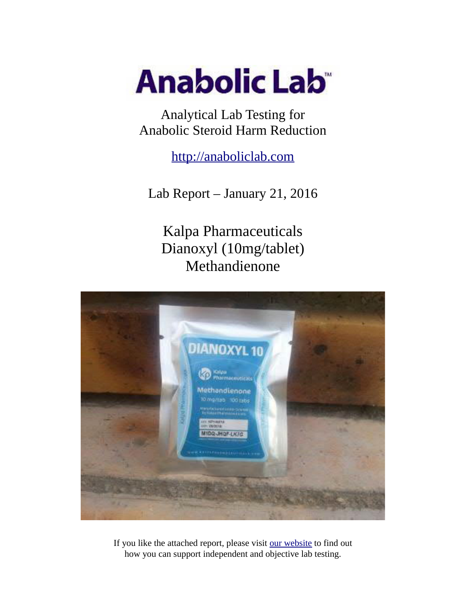

Analytical Lab Testing for Anabolic Steroid Harm Reduction

http://anaboliclab.com

Lab Report – January 21, 2016

Kalpa Pharmaceuticals Dianoxyl (10mg/tablet) Methandienone



If you like the attached report, please visit our website to find out how you can support independent and objective lab testing.